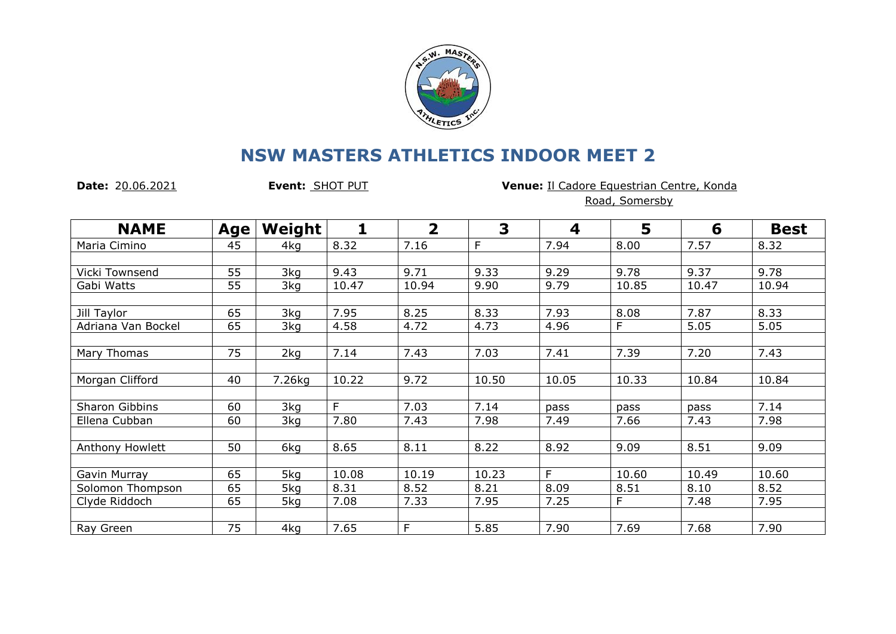

## **NSW MASTERS ATHLETICS INDOOR MEET 2**

**Date:** 20.06.2021 **Event:** SHOT PUT **Venue:** Il Cadore Equestrian Centre, Konda Road, Somersby

| <b>NAME</b>           | <b>Age</b> | Weight | 1     | $\overline{\mathbf{2}}$ | 3     | 4     | 5     | 6     | <b>Best</b> |
|-----------------------|------------|--------|-------|-------------------------|-------|-------|-------|-------|-------------|
| Maria Cimino          | 45         | 4kg    | 8.32  | 7.16                    | F     | 7.94  | 8.00  | 7.57  | 8.32        |
|                       |            |        |       |                         |       |       |       |       |             |
| Vicki Townsend        | 55         | 3kg    | 9.43  | 9.71                    | 9.33  | 9.29  | 9.78  | 9.37  | 9.78        |
| Gabi Watts            | 55         | 3kg    | 10.47 | 10.94                   | 9.90  | 9.79  | 10.85 | 10.47 | 10.94       |
|                       |            |        |       |                         |       |       |       |       |             |
| Jill Taylor           | 65         | 3kg    | 7.95  | 8.25                    | 8.33  | 7.93  | 8.08  | 7.87  | 8.33        |
| Adriana Van Bockel    | 65         | 3kg    | 4.58  | 4.72                    | 4.73  | 4.96  | F     | 5.05  | 5.05        |
|                       |            |        |       |                         |       |       |       |       |             |
| Mary Thomas           | 75         | 2kg    | 7.14  | 7.43                    | 7.03  | 7.41  | 7.39  | 7.20  | 7.43        |
|                       |            |        |       |                         |       |       |       |       |             |
| Morgan Clifford       | 40         | 7.26kg | 10.22 | 9.72                    | 10.50 | 10.05 | 10.33 | 10.84 | 10.84       |
|                       |            |        |       |                         |       |       |       |       |             |
| <b>Sharon Gibbins</b> | 60         | 3kg    | F     | 7.03                    | 7.14  | pass  | pass  | pass  | 7.14        |
| Ellena Cubban         | 60         | 3kg    | 7.80  | 7.43                    | 7.98  | 7.49  | 7.66  | 7.43  | 7.98        |
|                       |            |        |       |                         |       |       |       |       |             |
| Anthony Howlett       | 50         | 6kg    | 8.65  | 8.11                    | 8.22  | 8.92  | 9.09  | 8.51  | 9.09        |
| Gavin Murray          | 65         | 5kg    | 10.08 | 10.19                   | 10.23 | F     | 10.60 | 10.49 | 10.60       |
| Solomon Thompson      | 65         | 5kg    | 8.31  | 8.52                    | 8.21  | 8.09  | 8.51  | 8.10  | 8.52        |
| Clyde Riddoch         | 65         | 5kg    | 7.08  | 7.33                    | 7.95  | 7.25  | F     | 7.48  | 7.95        |
|                       |            |        |       |                         |       |       |       |       |             |
| Ray Green             | 75         | 4kg    | 7.65  | F                       | 5.85  | 7.90  | 7.69  | 7.68  | 7.90        |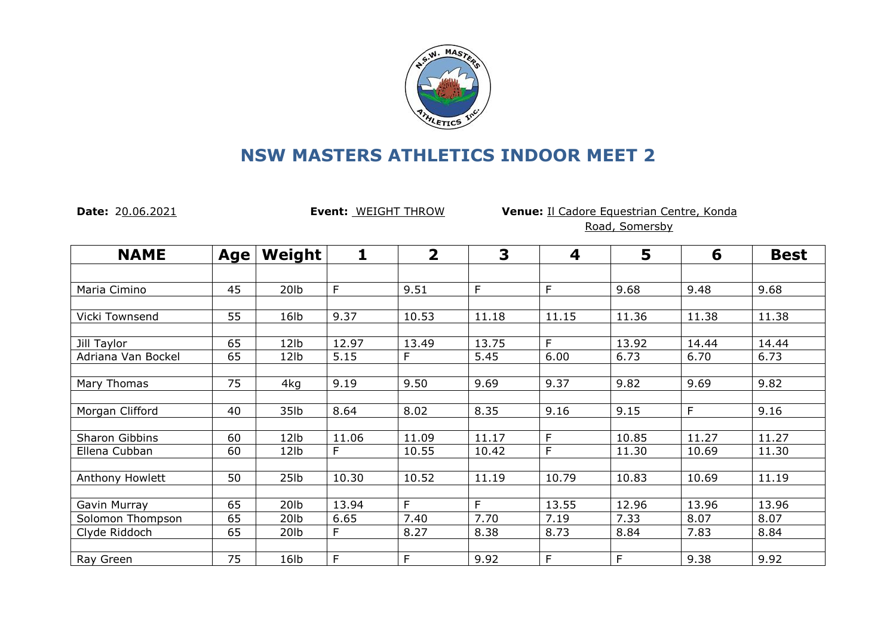

## **NSW MASTERS ATHLETICS INDOOR MEET 2**

**Date:** 20.06.2021 **Event:** WEIGHT THROW **Venue:** Il Cadore Equestrian Centre, Konda Road, Somersby

| <b>NAME</b>        | Age | Weight           | 1     | $\overline{2}$ | 3     | 4     | 5     | 6     | <b>Best</b> |
|--------------------|-----|------------------|-------|----------------|-------|-------|-------|-------|-------------|
|                    |     |                  |       |                |       |       |       |       |             |
| Maria Cimino       | 45  | 20lb             | F     | 9.51           | F     | F     | 9.68  | 9.48  | 9.68        |
|                    |     |                  |       |                |       |       |       |       |             |
| Vicki Townsend     | 55  | 16 <sub>lb</sub> | 9.37  | 10.53          | 11.18 | 11.15 | 11.36 | 11.38 | 11.38       |
|                    |     |                  |       |                |       |       |       |       |             |
| Jill Taylor        | 65  | 12lb             | 12.97 | 13.49          | 13.75 | F.    | 13.92 | 14.44 | 14.44       |
| Adriana Van Bockel | 65  | 12lb             | 5.15  | F              | 5.45  | 6.00  | 6.73  | 6.70  | 6.73        |
|                    |     |                  |       |                |       |       |       |       |             |
| Mary Thomas        | 75  | 4kg              | 9.19  | 9.50           | 9.69  | 9.37  | 9.82  | 9.69  | 9.82        |
|                    |     |                  |       |                |       |       |       |       |             |
| Morgan Clifford    | 40  | 35lb             | 8.64  | 8.02           | 8.35  | 9.16  | 9.15  | F     | 9.16        |
|                    |     |                  |       |                |       |       |       |       |             |
| Sharon Gibbins     | 60  | 12 <sub>1b</sub> | 11.06 | 11.09          | 11.17 | E     | 10.85 | 11.27 | 11.27       |
| Ellena Cubban      | 60  | 12lb             | F     | 10.55          | 10.42 | F     | 11.30 | 10.69 | 11.30       |
|                    |     |                  |       |                |       |       |       |       |             |
| Anthony Howlett    | 50  | 25 <sub>1b</sub> | 10.30 | 10.52          | 11.19 | 10.79 | 10.83 | 10.69 | 11.19       |
|                    |     |                  |       |                |       |       |       |       |             |
| Gavin Murray       | 65  | 20 <sub>lb</sub> | 13.94 | F.             | F.    | 13.55 | 12.96 | 13.96 | 13.96       |
| Solomon Thompson   | 65  | 20 <sub>lb</sub> | 6.65  | 7.40           | 7.70  | 7.19  | 7.33  | 8.07  | 8.07        |
| Clyde Riddoch      | 65  | 20 <sub>lb</sub> | F     | 8.27           | 8.38  | 8.73  | 8.84  | 7.83  | 8.84        |
|                    |     |                  |       |                |       |       |       |       |             |
| Ray Green          | 75  | 16lb             | F     | E              | 9.92  | F     | F     | 9.38  | 9.92        |